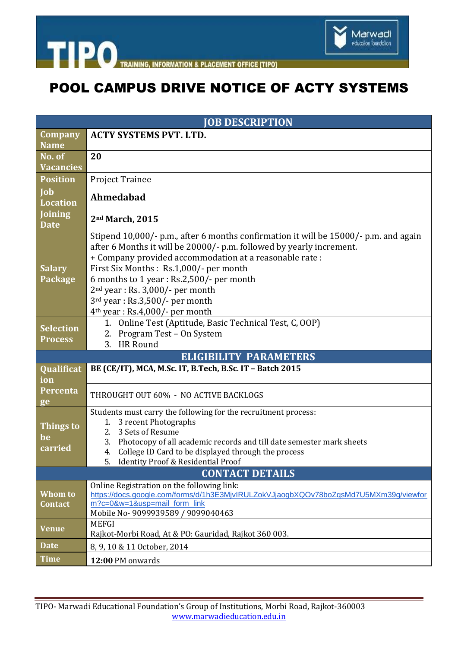



# POOL CAMPUS DRIVE NOTICE OF ACTY SYSTEMS

| <b>JOB DESCRIPTION</b>             |                                                                                                                                                                                                                                                                                                                                                                                                                             |  |
|------------------------------------|-----------------------------------------------------------------------------------------------------------------------------------------------------------------------------------------------------------------------------------------------------------------------------------------------------------------------------------------------------------------------------------------------------------------------------|--|
| Company<br><b>Name</b>             | <b>ACTY SYSTEMS PVT. LTD.</b>                                                                                                                                                                                                                                                                                                                                                                                               |  |
| No. of<br><b>Vacancies</b>         | 20                                                                                                                                                                                                                                                                                                                                                                                                                          |  |
| <b>Position</b>                    | Project Trainee                                                                                                                                                                                                                                                                                                                                                                                                             |  |
| Job<br><b>Location</b>             | Ahmedabad                                                                                                                                                                                                                                                                                                                                                                                                                   |  |
| Joining<br><b>Date</b>             | 2nd March, 2015                                                                                                                                                                                                                                                                                                                                                                                                             |  |
| <b>Salary</b><br>Package           | Stipend 10,000/- p.m., after 6 months confirmation it will be 15000/- p.m. and again<br>after 6 Months it will be 20000/- p.m. followed by yearly increment.<br>+ Company provided accommodation at a reasonable rate :<br>First Six Months : Rs.1,000/- per month<br>6 months to 1 year: Rs.2,500/- per month<br>$2nd$ year : Rs. 3,000/- per month<br>3rd year: Rs.3,500/- per month<br>$4th$ year : Rs.4,000/- per month |  |
| <b>Selection</b><br><b>Process</b> | 1. Online Test (Aptitude, Basic Technical Test, C, OOP)<br>2. Program Test - On System<br>3. HR Round                                                                                                                                                                                                                                                                                                                       |  |
| <b>ELIGIBILITY PARAMETERS</b>      |                                                                                                                                                                                                                                                                                                                                                                                                                             |  |
| <b>Qualificat</b><br>ion           | BE (CE/IT), MCA, M.Sc. IT, B.Tech, B.Sc. IT - Batch 2015                                                                                                                                                                                                                                                                                                                                                                    |  |
| Percenta<br>ge                     | THROUGHT OUT 60% - NO ACTIVE BACKLOGS                                                                                                                                                                                                                                                                                                                                                                                       |  |
| Things to<br>be<br>carried         | Students must carry the following for the recruitment process:<br>3 recent Photographs<br>1.<br>3 Sets of Resume<br>2.<br>Photocopy of all academic records and till date semester mark sheets<br>3.<br>4. College ID Card to be displayed through the process<br>5.<br><b>Identity Proof &amp; Residential Proof</b>                                                                                                       |  |
| <b>CONTACT DETAILS</b>             |                                                                                                                                                                                                                                                                                                                                                                                                                             |  |
| Whom to<br><b>Contact</b>          | Online Registration on the following link:<br>https://docs.google.com/forms/d/1h3E3MjvlRULZokVJjaogbXQOv78boZqsMd7U5MXm39g/viewfor<br>m?c=0&w=1&usp=mail form link<br>Mobile No- 9099939589 / 9099040463                                                                                                                                                                                                                    |  |
| <b>Venue</b>                       | <b>MEFGI</b><br>Rajkot-Morbi Road, At & PO: Gauridad, Rajkot 360 003.                                                                                                                                                                                                                                                                                                                                                       |  |
| <b>Date</b>                        | 8, 9, 10 & 11 October, 2014                                                                                                                                                                                                                                                                                                                                                                                                 |  |
| <b>Time</b>                        | 12:00 PM onwards                                                                                                                                                                                                                                                                                                                                                                                                            |  |